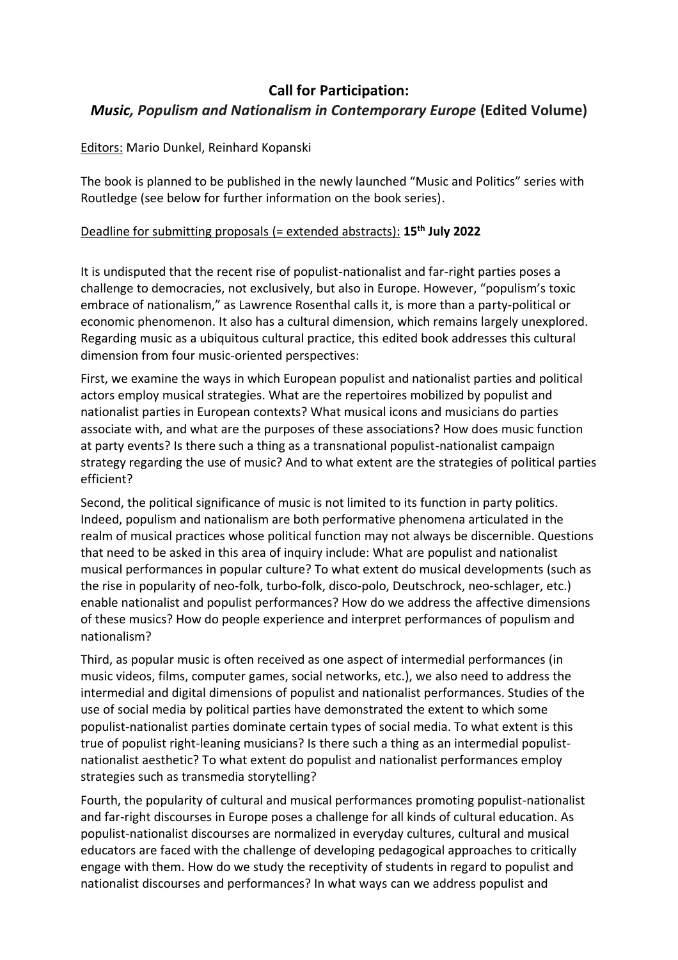# **Call for Participation:** *Music, Populism and Nationalism in Contemporary Europe* **(Edited Volume)**

## Editors: Mario Dunkel, Reinhard Kopanski

The book is planned to be published in the newly launched "Music and Politics" series with Routledge (see below for further information on the book series).

## Deadline for submitting proposals (= extended abstracts): **15th July 2022**

It is undisputed that the recent rise of populist-nationalist and far-right parties poses a challenge to democracies, not exclusively, but also in Europe. However, "populism's toxic embrace of nationalism," as Lawrence Rosenthal calls it, is more than a party-political or economic phenomenon. It also has a cultural dimension, which remains largely unexplored. Regarding music as a ubiquitous cultural practice, this edited book addresses this cultural dimension from four music-oriented perspectives:

First, we examine the ways in which European populist and nationalist parties and political actors employ musical strategies. What are the repertoires mobilized by populist and nationalist parties in European contexts? What musical icons and musicians do parties associate with, and what are the purposes of these associations? How does music function at party events? Is there such a thing as a transnational populist-nationalist campaign strategy regarding the use of music? And to what extent are the strategies of political parties efficient?

Second, the political significance of music is not limited to its function in party politics. Indeed, populism and nationalism are both performative phenomena articulated in the realm of musical practices whose political function may not always be discernible. Questions that need to be asked in this area of inquiry include: What are populist and nationalist musical performances in popular culture? To what extent do musical developments (such as the rise in popularity of neo-folk, turbo-folk, disco-polo, Deutschrock, neo-schlager, etc.) enable nationalist and populist performances? How do we address the affective dimensions of these musics? How do people experience and interpret performances of populism and nationalism?

Third, as popular music is often received as one aspect of intermedial performances (in music videos, films, computer games, social networks, etc.), we also need to address the intermedial and digital dimensions of populist and nationalist performances. Studies of the use of social media by political parties have demonstrated the extent to which some populist-nationalist parties dominate certain types of social media. To what extent is this true of populist right-leaning musicians? Is there such a thing as an intermedial populistnationalist aesthetic? To what extent do populist and nationalist performances employ strategies such as transmedia storytelling?

Fourth, the popularity of cultural and musical performances promoting populist-nationalist and far-right discourses in Europe poses a challenge for all kinds of cultural education. As populist-nationalist discourses are normalized in everyday cultures, cultural and musical educators are faced with the challenge of developing pedagogical approaches to critically engage with them. How do we study the receptivity of students in regard to populist and nationalist discourses and performances? In what ways can we address populist and